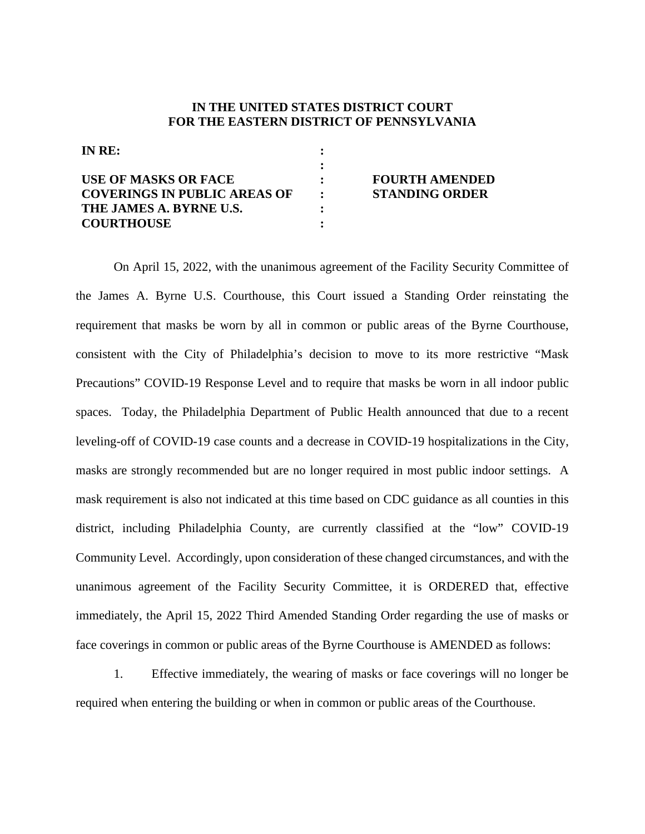## **IN THE UNITED STATES DISTRICT COURT FOR THE EASTERN DISTRICT OF PENNSYLVANIA**

**: : : : : :** 

**IN RE:**

| USE OF MASKS OR FACE                |  |
|-------------------------------------|--|
| <b>COVERINGS IN PUBLIC AREAS OF</b> |  |
| THE JAMES A. BYRNE U.S.             |  |
| <b>COURTHOUSE</b>                   |  |

## **FOURTH AMENDED STANDING ORDER**

On April 15, 2022, with the unanimous agreement of the Facility Security Committee of the James A. Byrne U.S. Courthouse, this Court issued a Standing Order reinstating the requirement that masks be worn by all in common or public areas of the Byrne Courthouse, consistent with the City of Philadelphia's decision to move to its more restrictive "Mask Precautions" COVID-19 Response Level and to require that masks be worn in all indoor public spaces. Today, the Philadelphia Department of Public Health announced that due to a recent leveling-off of COVID-19 case counts and a decrease in COVID-19 hospitalizations in the City, masks are strongly recommended but are no longer required in most public indoor settings. A mask requirement is also not indicated at this time based on CDC guidance as all counties in this district, including Philadelphia County, are currently classified at the "low" COVID-19 Community Level. Accordingly, upon consideration of these changed circumstances, and with the unanimous agreement of the Facility Security Committee, it is ORDERED that, effective immediately, the April 15, 2022 Third Amended Standing Order regarding the use of masks or face coverings in common or public areas of the Byrne Courthouse is AMENDED as follows:

1. Effective immediately, the wearing of masks or face coverings will no longer be required when entering the building or when in common or public areas of the Courthouse.